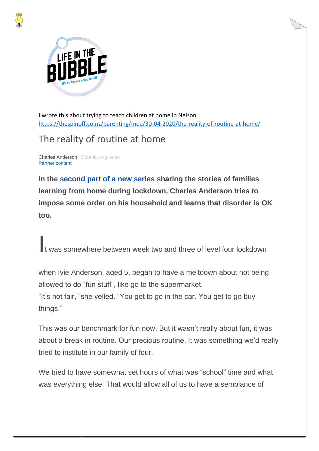

I wrote this about trying to teach children at home in Nelson <https://thespinoff.co.nz/parenting/moe/30-04-2020/the-reality-of-routine-at-home/>

## The reality of routine at home

[Charles Anderson](https://thespinoff.co.nz/author/charles-anderson/) | Contributing writer [Partner](https://thespinoff.co.nz/commercial-content/) content

**In the [second part of a new series](https://thespinoff.co.nz/parenting/moe/) sharing the stories of families learning from home during lockdown, Charles Anderson tries to impose some order on his household and learns that disorder is OK too.**

It was somewhere between week two and three of level four lockdown

when Ivie Anderson, aged 5, began to have a meltdown about not being allowed to do "fun stuff", like go to the supermarket. "It's not fair," she yelled. "You get to go in the car. You get to go buy things."

This was our benchmark for fun now. But it wasn't really about fun, it was about a break in routine. Our precious routine. It was something we'd really tried to institute in our family of four.

We tried to have somewhat set hours of what was "school" time and what was everything else. That would allow all of us to have a semblance of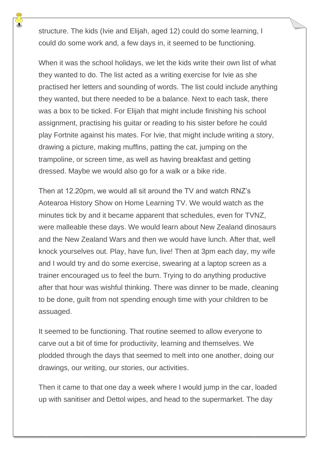structure. The kids (Ivie and Elijah, aged 12) could do some learning, I could do some work and, a few days in, it seemed to be functioning.

When it was the school holidays, we let the kids write their own list of what they wanted to do. The list acted as a writing exercise for Ivie as she practised her letters and sounding of words. The list could include anything they wanted, but there needed to be a balance. Next to each task, there was a box to be ticked. For Elijah that might include finishing his school assignment, practising his guitar or reading to his sister before he could play Fortnite against his mates. For Ivie, that might include writing a story, drawing a picture, making muffins, patting the cat, jumping on the trampoline, or screen time, as well as having breakfast and getting dressed. Maybe we would also go for a walk or a bike ride.

Then at 12.20pm, we would all sit around the TV and watch RNZ's Aotearoa History Show on Home Learning TV. We would watch as the minutes tick by and it became apparent that schedules, even for TVNZ, were malleable these days. We would learn about New Zealand dinosaurs and the New Zealand Wars and then we would have lunch. After that, well knock yourselves out. Play, have fun, live! Then at 3pm each day, my wife and I would try and do some exercise, swearing at a laptop screen as a trainer encouraged us to feel the burn. Trying to do anything productive after that hour was wishful thinking. There was dinner to be made, cleaning to be done, guilt from not spending enough time with your children to be assuaged.

It seemed to be functioning. That routine seemed to allow everyone to carve out a bit of time for productivity, learning and themselves. We plodded through the days that seemed to melt into one another, doing our drawings, our writing, our stories, our activities.

Then it came to that one day a week where I would jump in the car, loaded up with sanitiser and Dettol wipes, and head to the supermarket. The day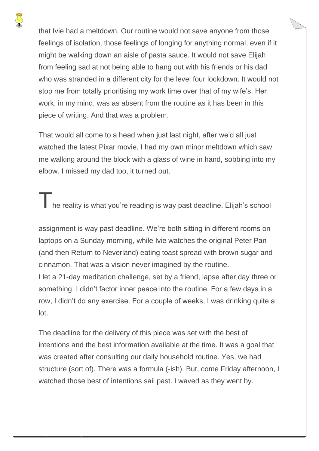that Ivie had a meltdown. Our routine would not save anyone from those feelings of isolation, those feelings of longing for anything normal, even if it might be walking down an aisle of pasta sauce. It would not save Elijah from feeling sad at not being able to hang out with his friends or his dad who was stranded in a different city for the level four lockdown. It would not stop me from totally prioritising my work time over that of my wife's. Her work, in my mind, was as absent from the routine as it has been in this piece of writing. And that was a problem.

That would all come to a head when just last night, after we'd all just watched the latest Pixar movie, I had my own minor meltdown which saw me walking around the block with a glass of wine in hand, sobbing into my elbow. I missed my dad too, it turned out.

The reality is what you're reading is way past deadline. Elijah's school

assignment is way past deadline. We're both sitting in different rooms on laptops on a Sunday morning, while Ivie watches the original Peter Pan (and then Return to Neverland) eating toast spread with brown sugar and cinnamon. That was a vision never imagined by the routine. I let a 21-day meditation challenge, set by a friend, lapse after day three or something. I didn't factor inner peace into the routine. For a few days in a row, I didn't do any exercise. For a couple of weeks, I was drinking quite a lot.

The deadline for the delivery of this piece was set with the best of intentions and the best information available at the time. It was a goal that was created after consulting our daily household routine. Yes, we had structure (sort of). There was a formula (-ish). But, come Friday afternoon, I watched those best of intentions sail past. I waved as they went by.